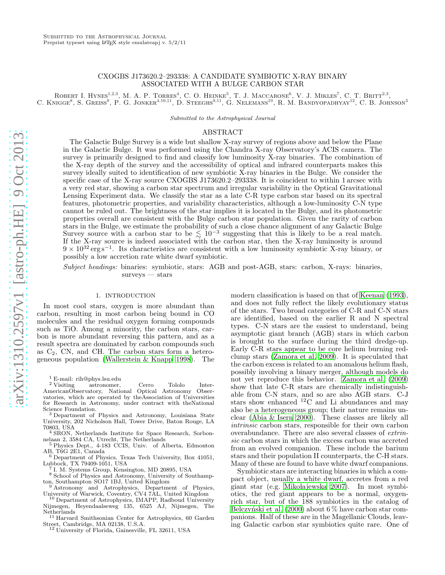# CXOGBS J173620.2–293338: A CANDIDATE SYMBIOTIC X-RAY BINARY ASSOCIATED WITH A BULGE CARBON STAR

ROBERT I. HYNES<sup>1,2,3</sup>, M. A. P. TORRES<sup>4</sup>, C. O. HEINKE<sup>5</sup>, T. J. MACCARONE<sup>6</sup>, V. J. MIKLES<sup>7</sup>, C. T. BRITT<sup>2,3</sup>, C. KNIGGE<sup>8</sup>, S. GREISS<sup>9</sup>, P. G. JONKER<sup>4,10,11</sup>, D. STEEGHS<sup>9,11</sup>, G. NELEMANS<sup>10</sup>, R. M. BANDYOPADHYAY<sup>12</sup>, C. B. JOHNSON<sup>3</sup>

Submitted to the Astrophysical Journal

## ABSTRACT

The Galactic Bulge Survey is a wide but shallow X-ray survey of regions above and below the Plane in the Galactic Bulge. It was performed using the Chandra X-ray Observatory's ACIS camera. The survey is primarily designed to find and classify low luminosity X-ray binaries. The combination of the X-ray depth of the survey and the accessibility of optical and infrared counterparts makes this survey ideally suited to identification of new symbiotic X-ray binaries in the Bulge. We consider the specific case of the X-ray source CXOGBS J173620.2–293338. It is coincident to within 1 arcsec with a very red star, showing a carbon star spectrum and irregular variability in the Optical Gravitational Lensing Experiment data. We classify the star as a late C-R type carbon star based on its spectral features, photometric properties, and variability characteristics, although a low-luminosity C-N type cannot be ruled out. The brightness of the star implies it is located in the Bulge, and its photometric properties overall are consistent with the Bulge carbon star population. Given the rarity of carbon stars in the Bulge, we estimate the probability of such a close chance alignment of any Galactic Bulge Survey source with a carbon star to be  $\lesssim 10^{-3}$  suggesting that this is likely to be a real match. If the X-ray source is indeed associated with the carbon star, then the X-ray luminosity is around 9 × 10<sup>32</sup> erg s<sup>-1</sup>. Its characteristics are consistent with a low luminosity symbiotic X-ray binary, or possibly a low accretion rate white dwarf symbiotic.

Subject headings: binaries: symbiotic, stars: AGB and post-AGB, stars: carbon, X-rays: binaries, surveys — stars

# 1. INTRODUCTION

In most cool stars, oxygen is more abundant than carbon, resulting in most carbon being bound in CO molecules and the residual oxygen forming compounds such as TiO. Among a minority, the carbon stars, carbon is more abundant reversing this pattern, and as a result spectra are dominated by carbon compounds such as  $C_2$ , CN, and CH. The carbon stars form a heterogeneous population [\(Wallerstein & Knapp 1998](#page-9-0)). The

<sup>1</sup> E-mail: rih@phys.lsu.edu<br><sup>2</sup> Visiting astronomer,

<sup>2</sup> Visiting astronomer, Cerro Tololo Inter-<br>mericanObservatory National Optical Astronomy Obser-AmericanObservatory, National Optical Astronomy vatories, which are operated by theAssociation of Universities for Research in Astronomy, under contract with theNational Science Foundation.

<sup>3</sup> Department of Physics and Astronomy, Louisiana State University, 202 Nicholson Hall, Tower Drive, Baton Rouge, LA 70803, USA

<sup>4</sup> SRON, Netherlands Institute for Space Research, Sorbonnelaan 2, 3584 CA, Utrecht, The Netherlands

<sup>5</sup> Physics Dept., 4-183 CCIS, Univ. of Alberta, Edmonton AB, T6G 2E1, Canada

<sup>6</sup> Department of Physics, Texas Tech University, Box 41051, Lubbock, TX 79409-1051, USA 7

I. M. Systems Group, Kensington, MD 20895, USA

<sup>8</sup> School of Physics and Astronomy, University of Southampton, Southampton SO17 1BJ, United Kingdom

 $\frac{9}{9}$  Astronomy and Astrophysics, Department of Physics, University of Warwick, Coventry, CV4 7AL, United Kingdom<br><sup>10</sup> Department of Astrophysics, IMAPP, Radboud University

Nijmegen, Heyendaalseweg 135, 6525 AJ, Nijmegen, The Netherlands

<sup>11</sup> Harvard Smithsonian Center for Astrophysics, 60 Garden Street, Cambridge, MA 02138, U.S.A. <sup>12</sup> University of Florida, Gainesville, FL 32611, USA

modern classification is based on that of [Keenan \(1993](#page-9-1)), and does not fully reflect the likely evolutionary status of the stars. Two broad categories of C-R and C-N stars are identified, based on the earlier R and N spectral types. C-N stars are the easiest to understand, being asymptotic giant branch (AGB) stars in which carbon is brought to the surface during the third dredge-up. Early C-R stars appear to be core helium burning redclump stars [\(Zamora et al. 2009](#page-9-2)). It is speculated that the carbon excess is related to an anomalous helium flash, possibly involving a binary merger, although models do not yet reproduce this behavior. [Zamora et al. \(2009](#page-9-2)) show that late C-R stars are chemically indistinguishable from C-N stars, and so are also AGB stars. C-J stars show enhanced <sup>12</sup>C and Li abundances and may also be a heterogeneous group; their nature remains unclear [\(Abia & Isern 2000\)](#page-8-0). These classes are likely all intrinsic carbon stars, responsible for their own carbon overabundance. There are also several classes of extrinsic carbon stars in which the excess carbon was accreted from an evolved companion. These include the barium stars and their population II counterparts, the C-H stars. Many of these are found to have white dwarf companions.

Symbiotic stars are interacting binaries in which a compact object, usually a white dwarf, accretes from a red giant star (e.g. Mikołajewska 2007). In most symbiotics, the red giant appears to be a normal, oxygenrich star, but of the 188 symbiotics in the catalog of Belczyński et al.  $(2000)$  about 6 % have carbon star companions. Half of these are in the Magellanic Clouds, leaving Galactic carbon star symbiotics quite rare. One of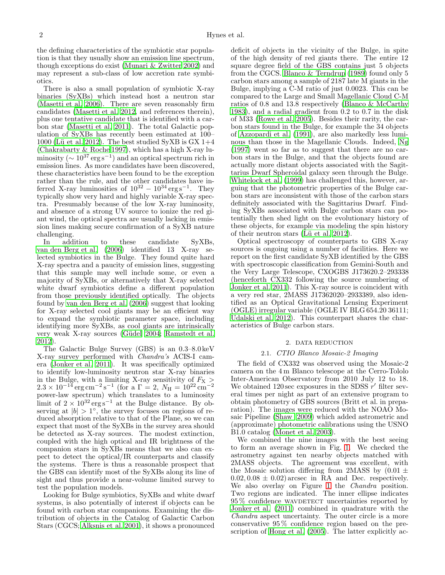the defining characteristics of the symbiotic star population is that they usually show an emission line spectrum, though exceptions do exist [\(Munari & Zwitter 2002\)](#page-9-4) and may represent a sub-class of low accretion rate symbiotics.

There is also a small population of symbiotic X-ray binaries (SyXBs) which instead host a neutron star [\(Masetti et al. 2006\)](#page-9-5). There are seven reasonably firm candidates [\(Masetti et al. 2012,](#page-9-6) and references therein), plus one tentative candidate that is identified with a carbon star [\(Masetti et al. 2011\)](#page-9-7). The total Galactic population of SyXBs has recently been estimated at 100– 1000 (Lü et al. 2012). The best studied SyXB is  $GX 1+4$ [\(Chakrabarty & Roche 1997\)](#page-8-2), which has a high X-ray luminosity ( $\sim 10^{37} \text{ erg s}^{-1}$ ) and an optical spectrum rich in emission lines. As more candidates have been discovered, these characteristics have been found to be the exception rather than the rule, and the other candidates have inferred X-ray luminosities of  $10^{32} - 10^{34} \text{ erg s}^{-1}$ . They typically show very hard and highly variable X-ray spectra. Presumably because of the low X-ray luminosity, and absence of a strong UV source to ionize the red giant wind, the optical spectra are usually lacking in emission lines making secure confirmation of a SyXB nature challenging.

In addition to these candidate SyXBs, [van den Berg et al. \(2006](#page-9-9)) identified 13 X-ray selected symbiotics in the Bulge. They found quite hard X-ray spectra and a paucity of emission lines, suggesting that this sample may well include some, or even a majority of SyXBs, or alternatively that X-ray selected white dwarf symbiotics define a different population from those previously identified optically. The objects found by [van den Berg et al. \(2006](#page-9-9)) suggest that looking for X-ray selected cool giants may be an efficient way to expand the symbiotic parameter space, including identifying more SyXBs, as cool giants are intrinsically very weak X-ray sources (Güdel 2004; [Ramstedt et al.](#page-9-11) [2012\)](#page-9-11).

The Galactic Bulge Survey (GBS) is an 0.3–8.0 keV X-ray survey performed with Chandra's ACIS-I camera [\(Jonker et al. 2011\)](#page-9-12). It was specifically optimized to identify low-luminosity neutron star X-ray binaries in the Bulge, with a limiting X-ray sensitivity of  $F_X >$  $2.3 \times 10^{-14} \text{ erg cm}^{-2} \text{ s}^{-1}$  (for a  $\Gamma = 2$ ,  $N_{\text{H}} = 10^{22} \text{ cm}^{-2}$ power-law spectrum) which translates to a luminosity limit of  $2 \times 10^{32} \text{ erg s}^{-1}$  at the Bulge distance. By observing at  $|b| > 1^{\circ}$ , the survey focuses on regions of reduced absorption relative to that of the Plane, so we can expect that most of the SyXBs in the survey area should be detected as X-ray sources. The modest extinction, coupled with the high optical and IR brightness of the companion stars in SyXBs means that we also can expect to detect the optical/IR counterparts and classify the systems. There is thus a reasonable prospect that the GBS can identify most of the SyXBs along its line of sight and thus provide a near-volume limited survey to test the population models.

Looking for Bulge symbiotics, SyXBs and white dwarf systems, is also potentially of interest if objects can be found with carbon star companions. Examining the distribution of objects in the Catalog of Galactic Carbon Stars (CGCS; [Alksnis et al. 2001\)](#page-8-3), it shows a pronounced

deficit of objects in the vicinity of the Bulge, in spite of the high density of red giants there. The entire 12 square degree field of the GBS contains just 5 objects from the CGCS. [Blanco & Terndrup \(1989\)](#page-8-4) found only 5 carbon stars among a sample of 2187 late M giants in the Bulge, implying a C-M ratio of just 0.0023. This can be compared to the Large and Small Magellanic Cloud C-M ratios of 0.8 and 13.8 respectively [\(Blanco & McCarthy](#page-8-5) [1983\)](#page-8-5), and a radial gradient from 0.2 to 0.7 in the disk of M33 [\(Rowe et al. 2005\)](#page-9-13). Besides their rarity, the carbon stars found in the Bulge, for example the 34 objects of [Azzopardi et al. \(1991\)](#page-8-6), are also markedly less luminous than those in the Magellanic Clouds. Indeed, [Ng](#page-9-14) [\(1997\)](#page-9-14) went so far as to suggest that there are no carbon stars in the Bulge, and that the objects found are actually more distant objects associated with the Sagittarius Dwarf Spheroidal galaxy seen through the Bulge. [Whitelock et al. \(1999](#page-9-15)) has challenged this, however, arguing that the photometric properties of the Bulge carbon stars are inconsistent with those of the carbon stars definitely associated with the Sagittarius Dwarf. Finding SyXBs associated with Bulge carbon stars can potentially then shed light on the evolutionary history of these objects, for example via modeling the spin history of their neutron stars (Lü et al. 2012).

Optical spectroscopy of counterparts to GBS X-ray sources is ongoing using a number of facilities. Here we report on the first candidate SyXB identified by the GBS with spectroscopic classification from Gemini-South and the Very Large Telescope, CXOGBS J173620.2–293338 (henceforth CX332 following the source numbering of [Jonker et al. 2011\)](#page-9-12). This X-ray source is coincident with a very red star, 2MASS J17362020–2933389, also identified as an Optical Gravitational Lensing Experiment (OGLE) irregular variable (OGLE IV BLG 654.20 36111; [Udalski et al. 2012\)](#page-9-16). This counterpart shares the characteristics of Bulge carbon stars.

# 2. DATA REDUCTION

### 2.1. CTIO Blanco Mosaic-2 Imaging

The field of CX332 was observed using the Mosaic-2 camera on the 4 m Blanco telescope at the Cerro-Tololo Inter-American Observatory from 2010 July 12 to 18. We obtained 120 sec exposures in the SDSS  $r'$  filter several times per night as part of an extensive program to obtain photometry of GBS sources (Britt et al. in preparation). The images were reduced with the NOAO Mosaic Pipeline [\(Shaw 2009\)](#page-9-17) which added astrometric and (approximate) photometric calibrations using the USNO B1.0 catalog [\(Monet et al. 2003\)](#page-9-18).

We combined the nine images with the best seeing to form an average shown in Fig. [1.](#page-2-0) We checked the astrometry against ten nearby objects matched with 2MASS objects. The agreement was excellent, with the Mosaic solution differing from 2MASS by  $(0.01 \pm$  $0.02, 0.08 \pm 0.02$ ) arcsec in RA and Dec. respectively. We also overlay on Figure [1](#page-2-0) the *Chandra* position. Two regions are indicated. The inner ellipse indicates  $95\%$  confidence WAVDETECT uncertainties reported by [Jonker et al. \(2011](#page-9-12)) combined in quadrature with the Chandra aspect uncertainty. The outer circle is a more conservative 95 % confidence region based on the prescription of [Hong et al. \(2005](#page-9-19)). The latter explicitly ac-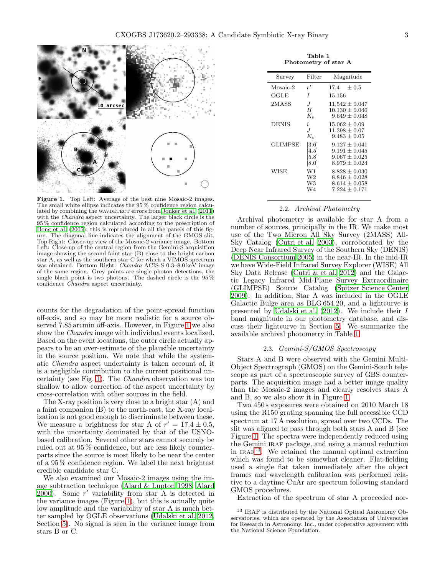

<span id="page-2-0"></span>Figure 1. Top Left: Average of the best nine Mosaic-2 images. The small white ellipse indicates the 95 % confidence region calculated by combining the WAVDETECT errors from Jonker et al.  $(2011)$ with the *Chandra* aspect uncertainty. The larger black circle is the 95 % confidence region calculated according to the prescription of [Hong et al. \(2005](#page-9-19)); this is reproduced in all the panels of this figure. The diagonal line indicates the alignment of the GMOS slit. Top Right: Closer-up view of the Mosaic-2 variance image. Bottom Left: Close-up of the central region from the Gemini-S acquisition image showing the second faint star (B) close to the bright carbon star A, as well as the southern star C for which a VIMOS spectrum was obtained. Bottom Right: *Chandra* ACIS-S 0.3–8.0 keV image of the same region. Grey points are single photon detections, the single black point is two photons. The dashed circle is the 95 % confidence Chandra aspect uncertainty.

counts for the degradation of the point-spread function off-axis, and so may be more realistic for a source observed 7.85 arcmin off-axis. However, in Figure [1](#page-2-0) we also show the *Chandra* image with individual events localized. Based on the event locations, the outer circle actually appears to be an over-estimate of the plausible uncertainty in the source position. We note that while the systematic Chandra aspect undertainty is taken account of, it is a negligible contribution to the current positional uncertainty (see Fig. [1\)](#page-2-0). The Chandra observation was too shallow to allow correction of the aspect uncertainty by cross-correlation with other sources in the field.

The X-ray position is very close to a bright star (A) and a faint companion (B) to the north-east; the X-ray localization is not good enough to discriminate between these. We measure a brightness for star A of  $r' = 17.4 \pm 0.5$ , with the uncertainty dominated by that of the USNObased calibration. Several other stars cannot securely be ruled out at 95 % confidence, but are less likely counterparts since the source is most likely to be near the center of a 95 % confidence region. We label the next brightest credible candidate star C.

We also examined our Mosaic-2 images using the image subtraction technique [\(Alard & Lupton 1998](#page-8-7); [Alard](#page-8-8)  $2000$ ). Some r' variability from star A is detected in the variance images (Figure [1\)](#page-2-0), but this is actually quite low amplitude and the variability of star A is much better sampled by OGLE observations [\(Udalski et al. 2012,](#page-9-16) Section [5\)](#page-5-0). No signal is seen in the variance image from stars B or C.

<span id="page-2-1"></span>Table 1 Photometry of star A

| Survey       | Filter                               | Magnitude                                                                    |
|--------------|--------------------------------------|------------------------------------------------------------------------------|
| Mosaic-2     | r'                                   | 17.4<br>$+0.5$                                                               |
| OGLE         | I                                    | 15.156                                                                       |
| 2MASS        | $\cdot$ <sub>I</sub><br>H<br>$K_{s}$ | $11.542 \pm 0.047$<br>$10.130 \pm 0.046$<br>$9.649 + 0.048$                  |
| <b>DENIS</b> | i<br>J<br>$K_{\rm s}$                | $15.062 \pm 0.09$<br>$11.398 + 0.07$<br>$9.483 + 0.05$                       |
| GLIMPSE      | 3.6 <br>4.5<br>[5.8]<br> 8.0         | $9.127 \pm 0.041$<br>$9.191 + 0.045$<br>$9.067 + 0.025$<br>$8.979 \pm 0.024$ |
| WISE         | W1<br>W2<br>W3<br>W4                 | $8.828 \pm 0.030$<br>$8.846 \pm 0.028$<br>$8.614\pm0.058$<br>$7.224 + 0.171$ |

2.2. Archival Photometry

Archival photometry is available for star A from a number of sources, principally in the IR. We make most use of the Two Micron All Sky Survey (2MASS) All-Sky Catalog [\(Cutri et al. 2003\)](#page-8-9), corroborated by the Deep Near Infrared Survey of the Southern Sky (DENIS) [\(DENIS Consortium 2005\)](#page-8-10) in the near-IR. In the mid-IR we have Wide-Field Infrared Survey Explorer (WISE) All Sky Data Release [\(Cutri & et al. 2012\)](#page-8-11) and the Galactic Legacy Infrared Mid-Plane Survey Extraordinaire (GLIMPSE) Source Catalog [\(Spitzer Science Center](#page-9-20) [2009\)](#page-9-20). In addition, Star A was included in the OGLE Galactic Bulge area as BLG 654.20, and a lightcurve is presented by [Udalski et al. \(2012\)](#page-9-16). We include their  $I$ band magnitude in our photometry database, and discuss their lightcurve in Section [5.](#page-5-0) We summarize the available archival photometry in Table [1](#page-2-1)

### 2.3. Gemini-S/GMOS Spectroscopy

Stars A and B were observed with the Gemini Multi-Object Spectrograph (GMOS) on the Gemini-South telescope as part of a spectroscopic survey of GBS counterparts. The acquisition image had a better image quality than the Mosaic-2 images and clearly resolves stars A and B, so we also show it in Figure [1.](#page-2-0)

Two  $450s$  exposures were obtained on 2010 March 18 using the R150 grating spanning the full accessible CCD spectrum at 17 Å resolution, spread over two CCDs. The slit was aligned to pass through both stars A and B (see Figure [1.](#page-2-0) The spectra were independently reduced using the Gemini IRAF package, and using a manual reduction in  $IRAF<sup>13</sup>$  $IRAF<sup>13</sup>$  $IRAF<sup>13</sup>$ . We retained the manual optimal extraction which was found to be somewhat cleaner. Flat-fielding used a single flat taken immediately after the object frames and wavelength calibration was performed relative to a daytime CuAr arc spectrum following standard GMOS procedures.

Extraction of the spectrum of star A proceeded nor-

<span id="page-2-2"></span><sup>13</sup> IRAF is distributed by the National Optical Astronomy Observatories, which are operated by the Association of Universities for Research in Astronomy, Inc., under cooperative agreement with the National Science Foundation.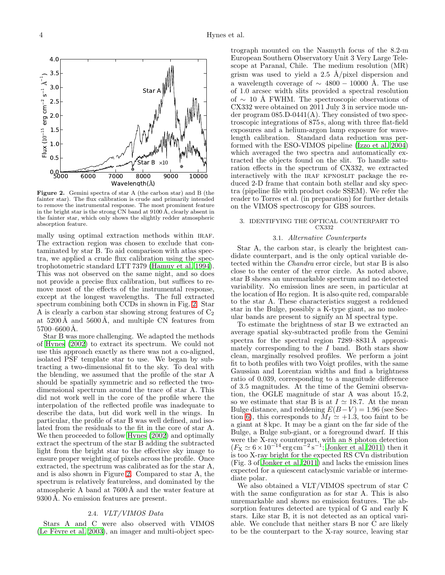<span id="page-3-0"></span>

mally using optimal extraction methods within IRAF. The extraction region was chosen to exclude that contaminated by star B. To aid comparison with atlas spectra, we applied a crude flux calibration using the spectrophotometric standard LTT 7379 [\(Hamuy et al. 1994\)](#page-9-21). This was not observed on the same night, and so does not provide a precise flux calibration, but suffices to remove most of the effects of the instrumental response, except at the longest wavelengths. The full extracted spectrum combining both CCDs in shown in Fig. [2.](#page-3-0) Star A is clearly a carbon star showing strong features of  $C_2$ at  $5200 \text{\AA}$  and  $5600 \text{\AA}$ , and multiple CN features from  $5700 - 6600$ Å.

Star B was more challenging. We adapted the methods of [Hynes \(2002\)](#page-9-22) to extract its spectrum. We could not use this approach exactly as there was not a co-aligned, isolated PSF template star to use. We began by subtracting a two-dimensional fit to the sky. To deal with the blending, we assumed that the profile of the star A should be spatially symmetric and so reflected the twodimensional spectrum around the trace of star A. This did not work well in the core of the profile where the interpolation of the reflected profile was inadequate to describe the data, but did work well in the wings. In particular, the profile of star B was well defined, and isolated from the residuals to the fit in the core of star A. We then proceeded to follow [Hynes \(2002\)](#page-9-22) and optimally extract the spectrum of the star B adding the subtracted light from the bright star to the effective sky image to ensure proper weighting of pixels across the profile. Once extracted, the spectrum was calibrated as for the star A, and is also shown in Figure [2.](#page-3-0) Compared to star A, the spectrum is relatively featureless, and dominated by the atmospheric A band at  $7600 \text{\AA}$  and the water feature at 9300 Å. No emission features are present.

## 2.4. VLT/VIMOS Data

Stars A and C were also observed with VIMOS (Le Fèvre et al. 2003), an imager and multi-object spectrograph mounted on the Nasmyth focus of the 8.2-m European Southern Observatory Unit 3 Very Large Telescope at Paranal, Chile. The medium resolution (MR) grism was used to yield a 2.5  $A/pixel$  dispersion and a wavelength coverage of  $\sim$  4800 − 10000 Å. The use of 1.0 arcsec width slits provided a spectral resolution of  $∼ 10$  Å FWHM. The spectroscopic observations of CX332 were obtained on 2011 July 3 in service mode under program  $085.D-0441(A)$ . They consisted of two spectroscopic integrations of 875 s, along with three flat-field exposures and a helium-argon lamp exposure for wavelength calibration. Standard data reduction was performed with the ESO-VIMOS pipeline [\(Izzo et al. 2004](#page-9-24)) which averaged the two spectra and automatically extracted the objects found on the slit. To handle saturation effects in the spectrum of CX332, we extracted interactively with the IRAF KPNOSLIT package the reduced 2-D frame that contain both stellar and sky spectra (pipeline file with product code SSEM). We refer the reader to Torres et al. (in preparation) for further details on the VIMOS spectroscopy for GBS sources.

## 3. IDENTIFYING THE OPTICAL COUNTERPART TO CX332

### 3.1. Alternative Counterparts

Star A, the carbon star, is clearly the brightest candidate counterpart, and is the only optical variable detected within the Chandra error circle, but star B is also close to the center of the error circle. As noted above, star B shows an unremarkable spectrum and no detected variability. No emission lines are seen, in particular at the location of  $H\alpha$  region. It is also quite red, comparable to the star A. These characteristics suggest a reddened star in the Bulge, possibly a K-type giant, as no molecular bands are present to signify an M spectral type.

To estimate the brightness of star B we extracted an average spatial sky-subtracted profile from the Gemini spectra for the spectral region  $7289-8831\text{\AA}$  approximately corresponding to the  $I$  band. Both stars show clean, marginally resolved profiles. We perform a joint fit to both profiles with two Voigt profiles, with the same Gaussian and Lorentzian widths and find a brightness ratio of 0.039, corresponding to a magnitude difference of 3.5 magnitudes. At the time of the Gemini observation, the OGLE magnitude of star A was about 15.2, so we estimate that star B is at  $I \simeq 18.7$ . At the mean Bulge distance, and reddening  $E(B-V) = 1.96$  (see Sec-tion [6\)](#page-5-1), this corresponds to  $M_I \simeq +1.3$ , too faint to be a giant at 8 kpc. It may be a giant on the far side of the Bulge, a Bulge sub-giant, or a foreground dwarf. If this were the X-ray counterpart, with an 8 photon detection  $(F_X \simeq 6 \times 10^{-14} \,\text{erg\,cm}^{-2}\,\text{s}^{-1}$ ; [Jonker et al. 2011\)](#page-9-12) then it is too X-ray bright for the expected RS CVn distribution (Fig. 3 of [Jonker et al. 2011](#page-9-12)) and lacks the emission lines expected for a quiescent cataclysmic variable or intermediate polar.

We also obtained a VLT/VIMOS spectrum of star C with the same configuration as for star A. This is also unremarkable and shows no emission features. The absorption features detected are typical of G and early K stars. Like star B, it is not detected as an optical variable. We conclude that neither stars B nor C are likely to be the counterpart to the X-ray source, leaving star

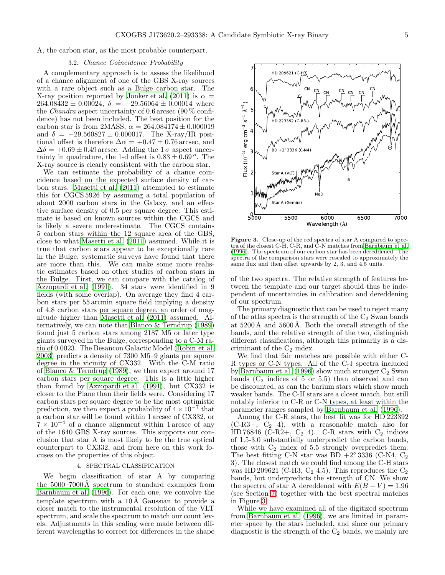A, the carbon star, as the most probable counterpart.

### 3.2. Chance Coincidence Probability

A complementary approach is to assess the likelihood of a chance alignment of one of the GBS X-ray sources with a rare object such as a Bulge carbon star. The X-ray position reported by [Jonker et al. \(2011\)](#page-9-12) is  $\alpha =$  $264.08432 \pm 0.00024$ ,  $\delta = -29.56064 \pm 0.00014$  where the *Chandra* aspect uncertainty of  $0.6$  arcsec  $(90\% \text{ confi})$ dence) has not been included. The best position for the carbon star is from 2MASS,  $\alpha = 264.084174 \pm 0.000019$ and  $\delta = -29.560827 \pm 0.000017$ . The X-ray/IR positional offset is therefore  $\Delta \alpha = +0.47 \pm 0.76$  arcsec, and  $\Delta\delta = +0.69 \pm 0.49$  arcsec. Adding the  $1\sigma$  aspect uncertainty in quadrature, the 1-d offset is  $0.83 \pm 0.69''$ . The X-ray source is clearly consistent with the carbon star.

We can estimate the probability of a chance coincidence based on the expected surface density of carbon stars. [Masetti et al. \(2011\)](#page-9-7) attempted to estimate this for CGCS 5926 by assuming a total population of about 2000 carbon stars in the Galaxy, and an effective surface density of 0.5 per square degree. This estimate is based on known sources within the CGCS and is likely a severe underestimate. The CGCS contains 5 carbon stars within the 12 square area of the GBS, close to what [Masetti et al. \(2011\)](#page-9-7) assumed. While it is true that carbon stars appear to be exceptionally rare in the Bulge, systematic surveys have found that there are more than this. We can make some more realistic estimates based on other studies of carbon stars in the Bulge. First, we can compare with the catalog of [Azzopardi et al. \(1991](#page-8-6)). 34 stars were identified in 9 fields (with some overlap). On average they find 4 carbon stars per 55 arcmin square field implying a density of 4.8 carbon stars per square degree, an order of magnitude higher than [Masetti et al. \(2011\)](#page-9-7) assumed. Alternatively, we can note that [Blanco & Terndrup \(1989](#page-8-4)) found just 5 carbon stars among 2187 M5 or later type giants surveyed in the Bulge, corresponding to a C-M ratio of 0.0023. The Besancon Galactic Model [\(Robin et al.](#page-9-25) [2003\)](#page-9-25) predicts a density of 7300 M5–9 giants per square degree in the vicinity of CX332. With the C-M ratio of [Blanco & Terndrup \(1989\)](#page-8-4), we then expect around 17 carbon stars per square degree. This is a little higher than found by [Azzopardi et al. \(1991\)](#page-8-6), but CX332 is closer to the Plane than their fields were. Considering 17 carbon stars per square degree to be the most optimistic prediction, we then expect a probability of  $4 \times 10^{-7}$  that a carbon star will be found within 1 arcsec of CX332, or  $7 \times 10^{-4}$  of a chance alignment within 1 arcsec of any of the 1640 GBS X-ray sources. This supports our conclusion that star A is most likely to be the true optical counterpart to CX332, and from here on this work focuses on the properties of this object.

### 4. SPECTRAL CLASSIFICATION

We begin classification of star A by comparing the  $5000-7000\text{\AA}$  spectrum to standard examples from [Barnbaum et al. \(1996\)](#page-8-12). For each one, we convolve the template spectrum with a  $10 \text{\AA}$  Gaussian to provide a closer match to the instrumental resolution of the VLT spectrum, and scale the spectrum to match our count levels. Adjustments in this scaling were made between different wavelengths to correct for differences in the shape



<span id="page-4-0"></span>Figure 3. Close-up of the red spectra of star A compared to spectra of the closest C-H, C-R, and C-N matches from [Barnbaum et al.](#page-8-12) [\(1996\)](#page-8-12). The spectrum of our carbon star has been dereddened. The spectra of the comparison stars were rescaled to approximately the same flux and then offset upwards by 2, 3, and 4.5 units.

of the two spectra. The relative strength of features between the template and our target should thus be independent of uncertainties in calibration and dereddening of our spectrum.

The primary diagnostic that can be used to reject many of the atlas spectra is the strength of the  $C_2$  Swan bands at  $5200 \text{\AA}$  and  $5600 \text{\AA}$ . Both the overall strength of the bands, and the relative strength of the two, distinguish different classifications, although this primarily is a discriminant of the  $C_2$  index.

We find that fair matches are possible with either C-R types or C-N types. All of the C-J spectra included by Barnbaum et al.  $(1996)$  show much stronger  $C_2$  Swan bands  $(C_2$  indices of 5 or 5.5) than observed and can be discounted, as can the barium stars which show much weaker bands. The C-H stars are a closer match, but still notably inferior to C-R or C-N types, at least within the parameter ranges sampled by [Barnbaum et al. \(1996](#page-8-12)).

Among the C-R stars, the best fit was for HD 223392  $(C-R3-$ ,  $C_2$  4), with a reasonable match also for  $HD 76846$  (C-R2+, C<sub>2</sub> 4). C-R stars with C<sub>2</sub> indices of 1.5-3.0 substantially underpredict the carbon bands, those with  $C_2$  index of 5.5 strongly overpredict them. The best fitting C-N star was BD +2° 3336 (C-N4, C<sub>2</sub> 3). The closest match we could find among the C-H stars was HD 209621 (C-H3,  $C_2$  4.5). This reproduces the  $C_2$ bands, but underpredicts the strength of CN. We show the spectra of star A dereddened with  $E(B-V) = 1.96$ (see Section [7\)](#page-6-0) together with the best spectral matches in Figure [3.](#page-4-0)

While we have examined all of the digitized spectrum from [Barnbaum et al. \(1996\)](#page-8-12), we are limited in parameter space by the stars included, and since our primary diagnostic is the strength of the  $C_2$  bands, we mainly are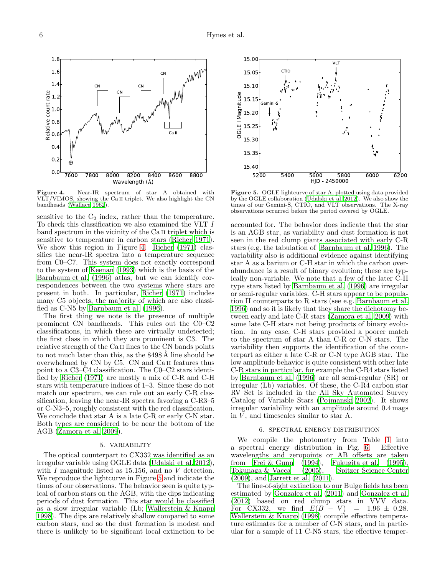15.00 15.05 15.10 15.15 15.20 15.25 15.30 15.35 15.40

**CTIO** 

Gemini-S

OGLE I Magnitude

OGLE I Magnitude

<span id="page-5-2"></span>Figure 4. Near-IR spectrum of star A obtained with VLT/VIMOS, showing the Ca ii triplet. We also highlight the CN bandheads [\(Wallace 1962](#page-9-26)).

sensitive to the  $C_2$  index, rather than the temperature. To check this classification we also examined the VLT  $I$ band spectrum in the vicinity of the Ca II triplet which is sensitive to temperature in carbon stars [\(Richer 1971\)](#page-9-27). We show this region in Figure [4.](#page-5-2) [Richer \(1971\)](#page-9-27) classifies the near-IR spectra into a temperature sequence from C0–C7. This system does not exactly correspond to the system of [Keenan \(1993\)](#page-9-1) which is the basis of the [Barnbaum et al. \(1996\)](#page-8-12) atlas, but we can identify correspondences between the two systems where stars are present in both. In particular, [Richer \(1971\)](#page-9-27) includes many C5 objects, the majority of which are also classified as C-N5 by [Barnbaum et al. \(1996](#page-8-12)).

The first thing we note is the presence of multiple prominent CN bandheads. This rules out the C0–C2 classifications, in which these are virtually undetected; the first class in which they are prominent is C3. The relative strength of the Ca II lines to the CN bands points to not much later than this, as the  $8498 \text{\AA}$  line should be overwhelmed by CN by C5. CN and Ca ii features thus point to a C3–C4 classification. The C0–C2 stars identified by [Richer \(1971](#page-9-27)) are mostly a mix of C-R and C-H stars with temperature indices of 1–3. Since these do not match our spectrum, we can rule out an early C-R classification, leaving the near-IR spectra favoring a C-R3–5 or C-N3–5, roughly consistent with the red classification. We conclude that star A is a late C-R or early C-N star. Both types are considered to be near the bottom of the AGB [\(Zamora et al. 2009](#page-9-2)).

#### 5. VARIABILITY

<span id="page-5-0"></span>The optical counterpart to CX332 was identified as an irregular variable using OGLE data [\(Udalski et al. 2012\)](#page-9-16), with  $I$  magnitude listed as 15.156, and no  $V$  detection. We reproduce the lightcurve in Figure [5](#page-5-3) and indicate the times of our observations. The behavior seen is quite typical of carbon stars on the AGB, with the dips indicating periods of dust formation. This star would be classified as a slow irregular variable (Lb; [Wallerstein & Knapp](#page-9-0) [1998\)](#page-9-0). The dips are relatively shallow compared to some carbon stars, and so the dust formation is modest and there is unlikely to be significant local extinction to be



<span id="page-5-3"></span>5200 5400 5600 5800 6000 6200 HJD - 2450000

VLT

accounted for. The behavior does indicate that the star is an AGB star, as variability and dust formation is not seen in the red clump giants associated with early C-R stars (e.g. the tabulation of [Barnbaum et al. 1996\)](#page-8-12). The variability also is additional evidence against identifying star A as a barium or C-H star in which the carbon overabundance is a result of binary evolution; these are typically non-variable. We note that a few of the later C-H type stars listed by [Barnbaum et al. \(1996\)](#page-8-12) are irregular or semi-regular variables. C-H stars appear to be population II counterparts to R stars (see e.g. [Barnbaum et al.](#page-8-12) [1996\)](#page-8-12) and so it is likely that they share the dichotomy between early and late C-R stars [\(Zamora et al. 2009\)](#page-9-2) with some late C-H stars not being products of binary evolution. In any case, C-H stars provided a poorer match to the spectrum of star A than C-R or C-N stars. The variability then supports the identification of the counterpart as either a late C-R or C-N type AGB star. The low amplitude behavior is quite consistent with other late C-R stars in particular, for example the C-R4 stars listed by [Barnbaum et al. \(1996](#page-8-12)) are all semi-regular (SR) or irregular (Lb) variables. Of these, the C-R4 carbon star RV Sct is included in the All Sky Automated Survey Catalog of Variable Stars [\(Pojmanski 2002\)](#page-9-28). It shows irregular variability with an amplitude around 0.4 mags in  $V$ , and timescales similar to star A.

#### 6. SPECTRAL ENERGY DISTRIBUTION

<span id="page-5-1"></span>We compile the photometry from Table [1](#page-2-1) into a spectral energy distribution in Fig. [6.](#page-6-1) Effective wavelengths and zeropoints or AB offsets are taken<br>from Frei & Gunn (1994), Fukugita et al. (1995), from [Frei & Gunn \(1994](#page-8-13)), [Fukugita et al. \(1995](#page-8-14)),  $(2005)$ , [Spitzer Science Center](#page-9-20) [\(2009\)](#page-9-20), and [Jarrett et al. \(2011\)](#page-9-30).

The line-of-sight extinction to our Bulge fields has been estimated by [Gonzalez et al. \(2011\)](#page-8-15) and [Gonzalez et al.](#page-9-31) [\(2012\)](#page-9-31) based on red clump stars in VVV data. For CX332, we find  $E(B - V) = 1.96 \pm 0.28$ . [Wallerstein & Knapp \(1998](#page-9-0)) compile effective temperature estimates for a number of C-N stars, and in particular for a sample of 11 C-N5 stars, the effective temper-

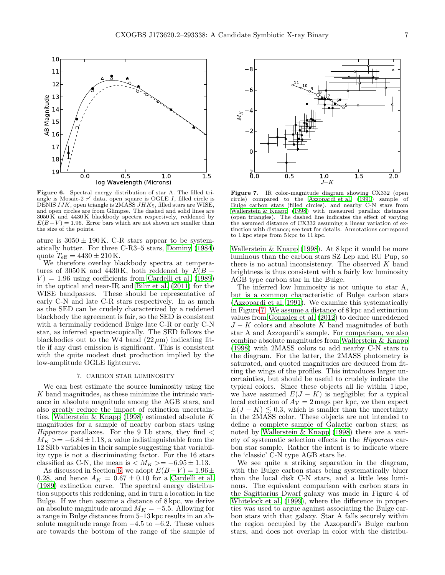

<span id="page-6-1"></span>**Figure 6.** Spectral energy distribution of star A. The filled triangle is Mosaic-2  $r'$  data, open square is OGLE  $I$ , filled circle is DENIS  $IJK$ , open triangle is 2MASS  $JHK<sub>S</sub>$ , filled stars are WISE, and open circles are from Glimpse. The dashed and solid lines are  $3050 \text{ K}$  and  $4430 \text{ K}$  blackbody spectra respectively, reddened by  $E(B-V) = 1.96$ . Error bars which are not shown are smaller than the size of the points.

ature is  $3050 \pm 190$  K. C-R stars appear to be systematically hotter. For three C-R3–5 stars, [Dominy \(1984](#page-8-16)) quote  $T_{\text{eff}} = 4430 \pm 210 \,\text{K}$ .

We therefore overlay blackbody spectra at temperatures of 3050 K and 4430 K, both reddened by  $E(B V = 1.96$  using coefficients from [Cardelli et al. \(1989](#page-8-17)) in the optical and near-IR and [Bilir et al. \(2011\)](#page-8-18) for the WISE bandpasses. These should be representative of early C-N and late C-R stars respectively. In as much as the SED can be crudely characterized by a reddened blackbody the agreement is fair, so the SED is consistent with a terminally reddened Bulge late C-R or early C-N star, as inferred spectroscopically. The SED follows the blackbodies out to the W4 band  $(22 \,\mu\text{m})$  indicating little if any dust emission is significant. This is consistent with the quite modest dust production implied by the low-amplitude OGLE lightcurve.

### 7. CARBON STAR LUMINOSITY

<span id="page-6-0"></span>We can best estimate the source luminosity using the K band magnitudes, as these minimize the intrinsic variance in absolute magnitude among the AGB stars, and also greatly reduce the impact of extinction uncertain-ties. [Wallerstein & Knapp \(1998\)](#page-9-0) estimated absolute K magnitudes for a sample of nearby carbon stars using Hipparcos parallaxes. For the 9 Lb stars, they find  $\leq$  $M_K \ge -6.84 \pm 1.18$ , a value indistinguishable from the 12 SRb variables in their sample suggesting that variability type is not a discriminating factor. For the 16 stars classified as C-N, the mean is  $\leq M_K \geq -6.95 \pm 1.13$ .

As discussed in Section [6,](#page-5-1) we adopt  $E(B-V) = 1.96 \pm$ 0.28, and hence  $A_K = 0.67 \pm 0.10$  for a [Cardelli et al.](#page-8-17) [\(1989\)](#page-8-17) extinction curve. The spectral energy distribution supports this reddening, and in turn a location in the Bulge. If we then assume a distance of 8 kpc, we derive an absolute magnitude around  $M_K = -5.5$ . Allowing for a range in Bulge distances from 5–13 kpc results in an absolute magnitude range from  $-4.5$  to  $-6.2$ . These values are towards the bottom of the range of the sample of



<span id="page-6-2"></span>Figure 7. IR color-magnitude diagram showing CX332 (open circle) compared to the [Azzopardi et al. \(1991](#page-8-6)) sample of Bulge carbon stars (filled circles), and nearby C-N stars from [Wallerstein & Knapp \(1998\)](#page-9-0) with measured parallax distances (open triangles). The dashed line indicates the effect of varying the assumed distance of CX332 assuming a linear variation of extinction with distance; see text for details. Annotations correspond to 1 kpc steps from 5 kpc to 11 kpc.

[Wallerstein & Knapp \(1998](#page-9-0)). At 8 kpc it would be more luminous than the carbon stars SZ Lep and RU Pup, so there is no actual inconsistency. The observed  $K$  band brightness is thus consistent with a fairly low luminosity AGB type carbon star in the Bulge.

The inferred low luminosity is not unique to star A, but is a common characteristic of Bulge carbon stars [\(Azzopardi et al. 1991](#page-8-6)). We examine this systematically in Figure [7.](#page-6-2) We assume a distance of 8 kpc and extinction values from [Gonzalez et al. \(2012\)](#page-9-31) to deduce unreddened  $J - K$  colors and absolute K band magnitudes of both star A and Azzopardi's sample. For comparison, we also combine absolute magnitudes from [Wallerstein & Knapp](#page-9-0) [\(1998\)](#page-9-0) with 2MASS colors to add nearby C-N stars to the diagram. For the latter, the 2MASS photometry is saturated, and quoted magnitudes are deduced from fitting the wings of the profiles. This introduces larger uncertainties, but should be useful to crudely indicate the typical colors. Since these objects all lie within 1 kpc, we have assumed  $E(J - K)$  is negligible; for a typical local extinction of  $A_V = 2$  mags per kpc, we then expect  $E(J - K) \leq 0.3$ , which is smaller than the uncertainty in the 2MASS color. These objects are not intended to define a complete sample of Galactic carbon stars; as noted by [Wallerstein & Knapp \(1998](#page-9-0)) there are a variety of systematic selection effects in the Hipparcos carbon star sample. Rather the intent is to indicate where the 'classic' C-N type AGB stars lie.

We see quite a striking separation in the diagram, with the Bulge carbon stars being systematically bluer than the local disk C-N stars, and a little less luminous. The equivalent comparison with carbon stars in the Sagittarius Dwarf galaxy was made in Figure 4 of [Whitelock et al. \(1999\)](#page-9-15), where the difference in properties was used to argue against associating the Bulge carbon stars with that galaxy. Star A falls securely within the region occupied by the Azzopardi's Bulge carbon stars, and does not overlap in color with the distribu-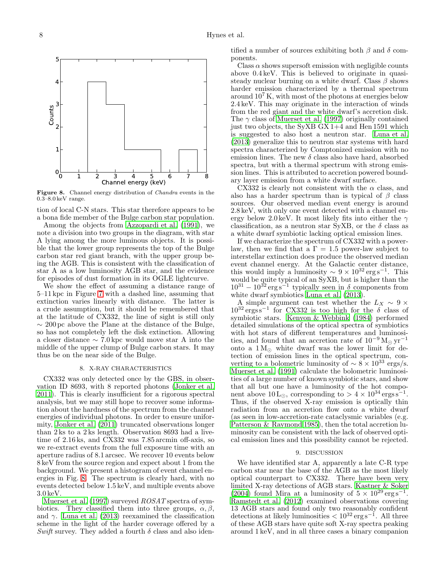

<span id="page-7-0"></span>Figure 8. Channel energy distribution of *Chandra* events in the 0.3–8.0 keV range.

tion of local C-N stars. This star therefore appears to be a bona fide member of the Bulge carbon star population.

Among the objects from [Azzopardi et al. \(1991](#page-8-6)), we note a division into two groups in the diagram, with star A lying among the more luminous objects. It is possible that the lower group represents the top of the Bulge carbon star red giant branch, with the upper group being the AGB. This is consistent with the classification of star A as a low luminosity AGB star, and the evidence for episodes of dust formation in its OGLE lightcurve.

We show the effect of assuming a distance range of 5–11 kpc in Figure [7](#page-6-2) with a dashed line, assuming that extinction varies linearly with distance. The latter is a crude assumption, but it should be remembered that at the latitude of CX332, the line of sight is still only  $\sim$  200 pc above the Plane at the distance of the Bulge, so has not completely left the disk extinction. Allowing a closer distance ∼ 7.0 kpc would move star A into the middle of the upper clump of Bulge carbon stars. It may thus be on the near side of the Bulge.

## 8. X-RAY CHARACTERISTICS

CX332 was only detected once by the GBS, in observation ID 8693, with 8 reported photons [\(Jonker et al.](#page-9-12) [2011\)](#page-9-12). This is clearly insufficient for a rigorous spectral analysis, but we may still hope to recover some information about the hardness of the spectrum from the channel energies of individual photons. In order to ensure uniformity, [Jonker et al. \(2011](#page-9-12)) truncated observations longer than 2 ks to a 2 ks length. Observation 8693 had a livetime of 2.16 ks, and CX332 was 7.85 arcmin off-axis, so we re-extract events from the full exposure time with an aperture radius of 8.1 arcsec. We recover 10 events below 8 keV from the source region and expect about 1 from the background. We present a histogram of event channel energies in Fig. [8.](#page-7-0) The spectrum is clearly hard, with no events detected below 1.5 keV, and multiple events above 3.0 keV.

[Muerset et al. \(1997\)](#page-9-32) surveyed ROSAT spectra of symbiotics. They classified them into three groups,  $\alpha, \beta$ , and  $\gamma$ . [Luna et al. \(2013](#page-9-33)) reexamined the classification scheme in the light of the harder coverage offered by a Swift survey. They added a fourth  $\delta$  class and also iden-

tified a number of sources exhibiting both  $\beta$  and  $\delta$  components.

Class  $\alpha$  shows supersoft emission with negligible counts above 0.4 keV. This is believed to originate in quasisteady nuclear burning on a white dwarf. Class  $\beta$  shows harder emission characterized by a thermal spectrum around  $10^7$  K, with most of the photons at energies below 2.4 keV. This may originate in the interaction of winds from the red giant and the white dwarf's accretion disk. The  $\gamma$  class of [Muerset et al. \(1997](#page-9-32)) originally contained just two objects, the SyXB GX 1+4 and Hen 1591 which is suggested to also host a neutron star. [Luna et al.](#page-9-33) [\(2013\)](#page-9-33) generalize this to neutron star systems with hard spectra characterized by Comptonized emission with no emission lines. The new  $\delta$  class also have hard, absorbed spectra, but with a thermal spectrum with strong emission lines. This is attributed to accretion powered boundary layer emission from a white dwarf surface.

CX332 is clearly not consistent with the  $\alpha$  class, and also has a harder spectrum than is typical of  $\beta$  class sources. Our observed median event energy is around 2.8 keV, with only one event detected with a channel energy below 2.0 keV. It most likely fits into either the  $\gamma$ classification, as a neutron star SyXB, or the  $\delta$  class as a white dwarf symbiotic lacking optical emission lines.

If we characterize the spectrum of CX332 with a powerlaw, then we find that a  $\Gamma$  = 1.5 power-law subject to interstellar extinction does produce the observed median event channel energy. At the Galactic center distance, this would imply a luminosity  $\sim 9 \times 10^{32} \,\text{erg s}^{-1}$ . This would be quite typical of an SyXB, but is higher than the  $10^{31} - 10^{32}$  erg s<sup>-1</sup> typically seen in  $\delta$  components from white dwarf symbiotics [Luna et al. \(2013](#page-9-33)).

A simple argument can test whether the  $L_X \sim 9 \times$  $10^{32}$  ergs s<sup>-1</sup> for CX332 is too high for the  $\delta$  class of symbiotic stars. [Kenyon & Webbink \(1984](#page-9-34)) performed detailed simulations of the optical spectra of symbiotics with hot stars of different temperatures and luminosities, and found that an accretion rate of  $10^{-9} M_{\odot} yr^{-1}$ onto a  $1 M_{\odot}$  white dwarf was the lower limit for detection of emission lines in the optical spectrum, converting to a bolometric luminosity of  $\sim 8 \times 10^{33}$  ergs/s. [Muerset et al. \(1991\)](#page-9-35) calculate the bolometric luminosities of a large number of known symbiotic stars, and show that all but one have a luminosity of the hot component above  $10 \text{ L}_{\odot}$ , corresponding to >  $4 \times 10^{34} \text{ ergs s}^{-1}$ . Thus, if the observed X-ray emission is optically thin radiation from an accretion flow onto a white dwarf (as seen in low-accretion-rate cataclysmic variables (e.g. [Patterson & Raymond 1985](#page-9-36)), then the total accretion luminosity can be consistent with the lack of observed optical emission lines and this possibility cannot be rejected.

## 9. DISCUSSION

We have identified star A, apparently a late C-R type carbon star near the base of the AGB as the most likely optical counterpart to CX332. There have been very limited X-ray detections of AGB stars. [Kastner & Soker](#page-9-37) [\(2004\)](#page-9-37) found Mira at a luminosity of  $5 \times 10^{29} \text{ erg s}^{-1}$ . [Ramstedt et al. \(2012\)](#page-9-11) examined observations covering 13 AGB stars and found only two reasonably confident detections at likely luminosities  $\langle 10^{32} \text{ erg s}^{-1}$ . All three of these AGB stars have quite soft X-ray spectra peaking around 1 keV, and in all three cases a binary companion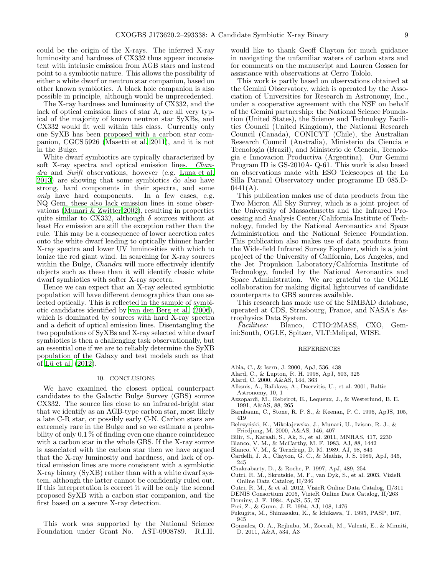could be the origin of the X-rays. The inferred X-ray luminosity and hardness of CX332 thus appear inconsistent with intrinsic emission from AGB stars and instead point to a symbiotic nature. This allows the possibility of either a white dwarf or neutron star companion, based on other known symbiotics. A black hole companion is also possible in principle, although would be unprecedented.

The X-ray hardness and luminosity of CX332, and the lack of optical emission lines of star A, are all very typical of the majority of known neutron star SyXBs, and CX332 would fit well within this class. Currently only one SyXB has been proposed with a carbon star companion, CGCS 5926 [\(Masetti et al. 2011\)](#page-9-7), and it is not in the Bulge.

White dwarf symbiotics are typically characterized by soft X-ray spectra and optical emission lines. *Chan*dra and Swift observations, however (e.g. [Luna et al.](#page-9-33) [2013\)](#page-9-33) are showing that some symbiotics do also have strong, hard components in their spectra, and some *only* have hard components. In a few cases, e.g.  $only$  have hard components. NQ Gem, these also lack emission lines in some observations [\(Munari & Zwitter 2002\)](#page-9-4), resulting in properties quite similar to CX332, although  $\delta$  sources without at least  $H\alpha$  emission are still the exception rather than the rule. This may be a consequence of lower accretion rates onto the white dwarf leading to optically thinner harder X-ray spectra and lower UV luminosities with which to ionize the red giant wind. In searching for X-ray sources within the Bulge, *Chandra* will more effectively identify objects such as these than it will identify classic white dwarf symbiotics with softer X-ray spectra.

Hence we can expect that an X-ray selected symbiotic population will have different demographics than one selected optically. This is reflected in the sample of symbiotic candidates identified by [van den Berg et al. \(2006\)](#page-9-9), which is dominated by sources with hard X-ray spectra and a deficit of optical emission lines. Disentangling the two populations of SyXBs and X-ray selected white dwarf symbiotics is then a challenging task observationally, but an essential one if we are to reliably determine the SyXB population of the Galaxy and test models such as that of Lü et al.  $(2012)$ .

# 10. CONCLUSIONS

We have examined the closest optical counterpart candidates to the Galactic Bulge Survey (GBS) source CX332. The source lies close to an infrared-bright star that we identify as an AGB-type carbon star, most likely a late C-R star, or possibly early C-N. Carbon stars are extremely rare in the Bulge and so we estimate a probability of only 0.1 % of finding even one chance coincidence with a carbon star in the whole GBS. If the X-ray source is associated with the carbon star then we have argued that the X-ray luminosity and hardness, and lack of optical emission lines are more consistent with a symbiotic X-ray binary (SyXB) rather than with a white dwarf system, although the latter cannot be confidently ruled out. If this interpretation is correct it will be only the second proposed SyXB with a carbon star companion, and the first based on a secure X-ray detection.

This work was supported by the National Science Foundation under Grant No. AST-0908789. R.I.H.

would like to thank Geoff Clayton for much guidance in navigating the unfamiliar waters of carbon stars and for comments on the manuscript and Lauren Gossen for assistance with observations at Cerro Tololo.

This work is partly based on observations obtained at the Gemini Observatory, which is operated by the Association of Universities for Research in Astronomy, Inc., under a cooperative agreement with the NSF on behalf of the Gemini partnership: the National Science Foundation (United States), the Science and Technology Facilities Council (United Kingdom), the National Research Council (Canada), CONICYT (Chile), the Australian Research Council (Australia), Ministerio da Ciencia e Tecnologia (Brazil), and Ministerio de Ciencia, Tecnologia e Innovacion Productiva (Argentina). Our Gemini Program ID is GS-2010A- Q-61. This work is also based on observations made with ESO Telescopes at the La Silla Paranal Observatory under programme ID 085.D- $0441(A)$ .

This publication makes use of data products from the Two Micron All Sky Survey, which is a joint project of the University of Massachusetts and the Infrared Processing and Analysis Center/California Institute of Technology, funded by the National Aeronautics and Space Administration and the National Science Foundation. This publication also makes use of data products from the Wide-field Infrared Survey Explorer, which is a joint project of the University of California, Los Angeles, and the Jet Propulsion Laboratory/California Institute of Technology, funded by the National Aeronautics and Space Administration. We are grateful to the OGLE collaboration for making digital lightcurves of candidate counterparts to GBS sources available.

This research has made use of the SIMBAD database, operated at CDS, Strasbourg, France, and NASA's Astrophysics Data System.

Facilities: Blanco, CTIO:2MASS, CXO, Gemini:South, OGLE, Spitzer, VLT:Melipal, WISE.

#### REFERENCES

- <span id="page-8-0"></span>Abia, C., & Isern, J. 2000, ApJ, 536, 438
- <span id="page-8-7"></span>Alard, C., & Lupton, R. H. 1998, ApJ, 503, 325
- <span id="page-8-8"></span>Alard, C. 2000, A&AS, 144, 363
- <span id="page-8-3"></span>Alksnis, A., Balklavs, A., Dzervitis, U., et al. 2001, Baltic Astronomy, 10, 1
- <span id="page-8-6"></span>Azzopardi, M., Rebeirot, E., Lequeux, J., & Westerlund, B. E. 1991, A&AS, 88, 265
- <span id="page-8-12"></span>Barnbaum, C., Stone, R. P. S., & Keenan, P. C. 1996, ApJS, 105, 419
- <span id="page-8-1"></span>Belczyński, K., Mikołajewska, J., Munari, U., Ivison, R. J., & Friedjung, M. 2000, A&AS, 146, 407
- <span id="page-8-18"></span>Bilir, S., Karaali, S., Ak, S., et al. 2011, MNRAS, 417, 2230
- <span id="page-8-5"></span>Blanco, V. M., & McCarthy, M. F. 1983, AJ, 88, 1442
- <span id="page-8-4"></span>Blanco, V. M., & Terndrup, D. M. 1989, AJ, 98, 843
- <span id="page-8-17"></span>Cardelli, J. A., Clayton, G. C., & Mathis, J. S. 1989, ApJ, 345, 245
- Chakrabarty, D., & Roche, P. 1997, ApJ, 489, 254
- <span id="page-8-9"></span><span id="page-8-2"></span>Cutri, R. M., Skrutskie, M. F., van Dyk, S., et al. 2003, VizieR Online Data Catalog, II/246
- <span id="page-8-11"></span>Cutri, R. M., & et al. 2012, VizieR Online Data Catalog, II/311
- <span id="page-8-10"></span>DENIS Consortium 2005, VizieR Online Data Catalog, II/263 Dominy, J. F. 1984, ApJS, 55, 27
- <span id="page-8-16"></span>Frei, Z., & Gunn, J. E. 1994, AJ, 108, 1476
- <span id="page-8-14"></span><span id="page-8-13"></span>Fukugita, M., Shimasaku, K., & Ichikawa, T. 1995, PASP, 107,
- <span id="page-8-15"></span>945 Gonzalez, O. A., Rejkuba, M., Zoccali, M., Valenti, E., & Minniti, D. 2011, A&A, 534, A3